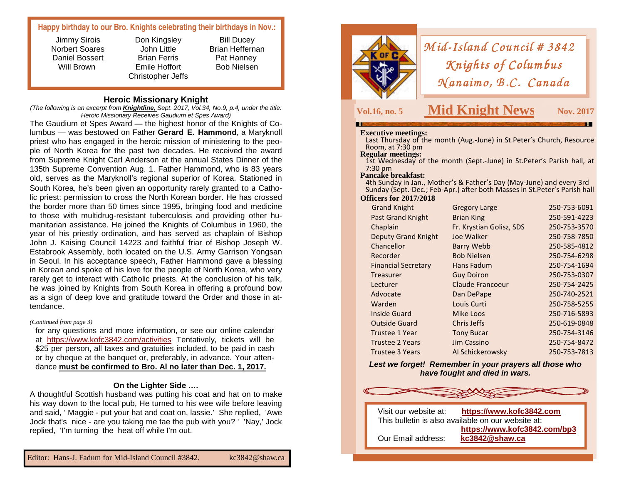# **Happy birthday to our Bro. Knights celebrating their birthdays in Nov.:**

Jimmy Sirois Norbert Soares Daniel Bossert Will Brown

Don Kingsley John Little Brian Ferris Emile Hoffort Christopher Jeffs

Bill Ducey Brian Heffernan Pat Hanney Bob Nielsen

## **Heroic Missionary Knight**

 (The following is an excerpt from **Knightline,** Sept. 2017, Vol.34, No.9, p.4, under the title: Heroic Missionary Receives Gaudium et Spes Award)

 The Gaudium et Spes Award — the highest honor of the Knights of Columbus — was bestowed on Father **Gerard E. Hammond**, a Maryknoll priest who has engaged in the heroic mission of ministering to the people of North Korea for the past two decades. He received the award from Supreme Knight Carl Anderson at the annual States Dinner of the 135th Supreme Convention Aug. 1. Father Hammond, who is 83 years old, serves as the Maryknoll's regional superior of Korea. Stationed in South Korea, he's been given an opportunity rarely granted to a Catholic priest: permission to cross the North Korean border. He has crossed the border more than 50 times since 1995, bringing food and medicine to those with multidrug-resistant tuberculosis and providing other humanitarian assistance. He joined the Knights of Columbus in 1960, the year of his priestly ordination, and has served as chaplain of Bishop John J. Kaising Council 14223 and faithful friar of Bishop Joseph W. Estabrook Assembly, both located on the U.S. Army Garrison Yongsan in Seoul. In his acceptance speech, Father Hammond gave a blessing in Korean and spoke of his love for the people of North Korea, who very rarely get to interact with Catholic priests. At the conclusion of his talk, he was joined by Knights from South Korea in offering a profound bow as a sign of deep love and gratitude toward the Order and those in attendance.

#### *(Continued from page 3)*

for any questions and more information, or see our online calendar at https://www.kofc3842.com/activities Tentatively, tickets will be \$25 per person, all taxes and gratuities included, to be paid in cash or by cheque at the banquet or, preferably, in advance. Your attendance **must be confirmed to Bro. Al no later than Dec. 1, 2017.**

#### **On the Lighter Side ….**

 A thoughtful Scottish husband was putting his coat and hat on to make his way down to the local pub, He turned to his wee wife before leaving and said, ' Maggie - put your hat and coat on, lassie.' She replied, 'Awe Jock that's nice - are you taking me tae the pub with you? ' 'Nay,' Jock replied, 'I'm turning the heat off while I'm out.



# *Mid-Island Council # 3842*<br>*Knights of Columbus Knights of Columbus<br>(anaimo, B.C. Canadı <sup>N</sup> anaim o, B .C. Canada No, Canada*

# **Vol.16, no. 5 Mid Knight News**

**S** Nov. 2017

**Executive meetings:** Last Thursday of the month (Aug.-June) in St.Peter's Church, Resource Room, at 7:30 pm<br>**Regular meetings:** 

1st Wednesday of the month (Sept.-June) in St.Peter's Parish hall, at 7:30 pm

#### **Pancake breakfast:**

 4th Sunday in Jan., Mother's & Father's Day (May-June) and every 3rd Sunday (Sept.-Dec.; Feb-Apr.) after both Masses in St.Peter's Parish hall

### **Officers for 2017/2018**

| <b>Gregory Large</b>     | 250-753-6091 |
|--------------------------|--------------|
| <b>Brian King</b>        | 250-591-4223 |
| Fr. Krystian Golisz, SDS | 250-753-3570 |
| Joe Walker               | 250-758-7850 |
| <b>Barry Webb</b>        | 250-585-4812 |
| <b>Bob Nielsen</b>       | 250-754-6298 |
| Hans Fadum               | 250-754-1694 |
| <b>Guy Doiron</b>        | 250-753-0307 |
| <b>Claude Francoeur</b>  | 250-754-2425 |
| Dan DePape               | 250-740-2521 |
| Louis Curti              | 250-758-5255 |
| Mike Loos                | 250-716-5893 |
| Chris Jeffs              | 250-619-0848 |
| <b>Tony Bucar</b>        | 250-754-3146 |
| Jim Cassino              | 250-754-8472 |
| Al Schickerowsky         | 250-753-7813 |
|                          |              |

**Lest we forget! Remember in your prayers all those who have fought and died in wars.**